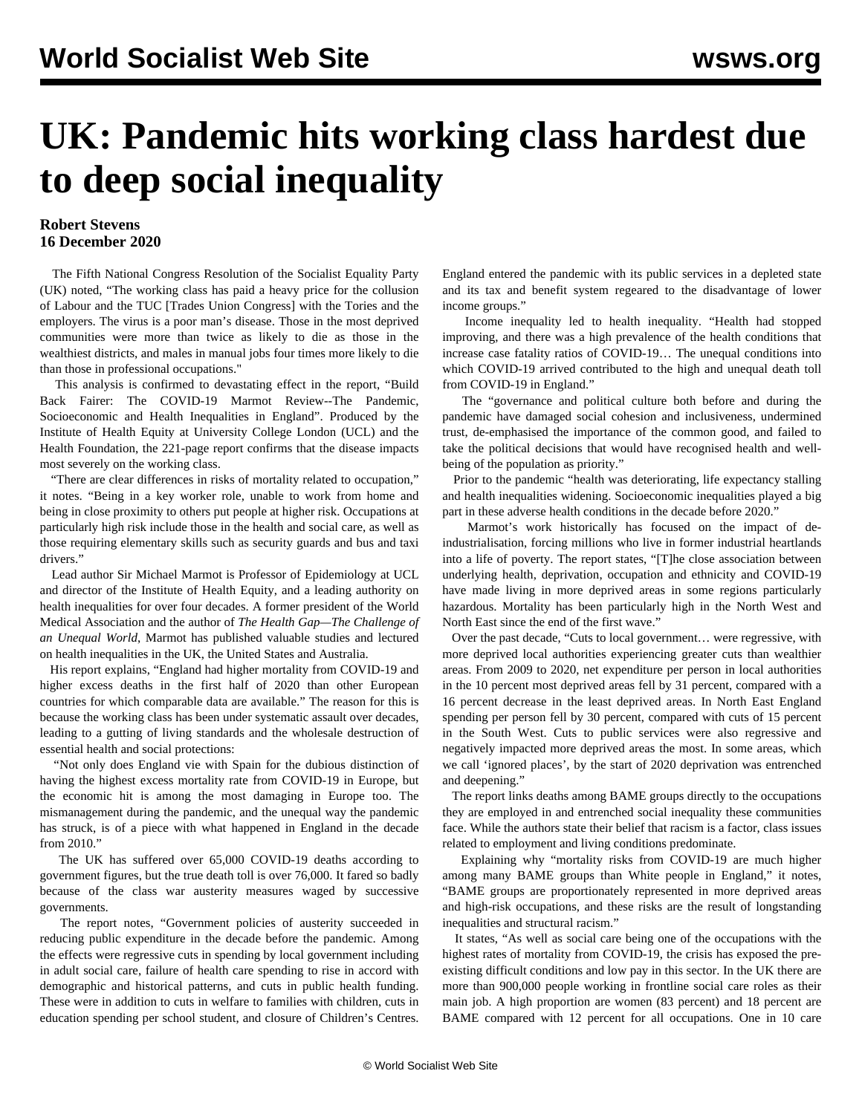## **UK: Pandemic hits working class hardest due to deep social inequality**

## **Robert Stevens 16 December 2020**

 The Fifth National Congress [Resolution](/en/articles/2020/11/14/reso-n14.html) of the Socialist Equality Party (UK) noted, "The working class has paid a heavy price for the collusion of Labour and the TUC [Trades Union Congress] with the Tories and the employers. The virus is a poor man's disease. Those in the most deprived communities were more than twice as likely to die as those in the wealthiest districts, and males in manual jobs four times more likely to die than those in professional occupations."

 This analysis is confirmed to devastating effect in the report, "Build Back Fairer: The COVID-19 Marmot Review--The Pandemic, Socioeconomic and Health Inequalities in England". Produced by the Institute of Health Equity at University College London (UCL) and the Health Foundation, the 221-page report confirms that the disease impacts most severely on the working class.

 "There are clear differences in risks of mortality related to occupation," it notes. "Being in a key worker role, unable to work from home and being in close proximity to others put people at higher risk. Occupations at particularly high risk include those in the health and social care, as well as those requiring elementary skills such as security guards and bus and taxi drivers."

 Lead author Sir Michael Marmot is Professor of Epidemiology at UCL and director of the Institute of Health Equity, and a leading authority on health inequalities for over four decades. A former president of the World Medical Association and the author of *The Health Gap—The Challenge of an Unequal World*, Marmot has published valuable studies and lectured on health inequalities in the [UK](/en/articles/2020/03/12/life-m12.html), the [United States](/en/articles/2012/09/life-s22.html) and [Australia.](/en/articles/2016/12/21/marm-d21.html)

 His report explains, "England had higher mortality from COVID-19 and higher excess deaths in the first half of 2020 than other European countries for which comparable data are available." The reason for this is because the working class has been under systematic assault over decades, leading to a gutting of living standards and the wholesale destruction of essential health and social protections:

 "Not only does England vie with Spain for the dubious distinction of having the highest excess mortality rate from COVID-19 in Europe, but the economic hit is among the most damaging in Europe too. The mismanagement during the pandemic, and the unequal way the pandemic has struck, is of a piece with what happened in England in the decade from 2010."

 The UK has suffered over 65,000 COVID-19 deaths according to government figures, but the true death toll is over 76,000. It fared so badly because of the class war austerity measures waged by successive governments.

 The report notes, "Government policies of austerity succeeded in reducing public expenditure in the decade before the pandemic. Among the effects were regressive cuts in spending by local government including in adult social care, failure of health care spending to rise in accord with demographic and historical patterns, and cuts in public health funding. These were in addition to cuts in welfare to families with children, cuts in education spending per school student, and closure of Children's Centres.

England entered the pandemic with its public services in a depleted state and its tax and benefit system regeared to the disadvantage of lower income groups."

 Income inequality led to health inequality. "Health had stopped improving, and there was a high prevalence of the health conditions that increase case fatality ratios of COVID-19… The unequal conditions into which COVID-19 arrived contributed to the high and unequal death toll from COVID-19 in England."

 The "governance and political culture both before and during the pandemic have damaged social cohesion and inclusiveness, undermined trust, de-emphasised the importance of the common good, and failed to take the political decisions that would have recognised health and wellbeing of the population as priority."

 Prior to the pandemic "health was deteriorating, life expectancy stalling and health inequalities widening. Socioeconomic inequalities played a big part in these adverse health conditions in the decade before 2020."

 Marmot's work historically has focused on the impact of deindustrialisation, forcing millions who live in former industrial heartlands into a life of poverty. The report states, "[T]he close association between underlying health, deprivation, occupation and ethnicity and COVID-19 have made living in more deprived areas in some regions particularly hazardous. Mortality has been particularly high in the North West and North East since the end of the first wave."

 Over the past decade, "Cuts to local government… were regressive, with more deprived local authorities experiencing greater cuts than wealthier areas. From 2009 to 2020, net expenditure per person in local authorities in the 10 percent most deprived areas fell by 31 percent, compared with a 16 percent decrease in the least deprived areas. In North East England spending per person fell by 30 percent, compared with cuts of 15 percent in the South West. Cuts to public services were also regressive and negatively impacted more deprived areas the most. In some areas, which we call 'ignored places', by the start of 2020 deprivation was entrenched and deepening."

 The report links deaths among BAME groups directly to the occupations they are employed in and entrenched social inequality these communities face. While the authors state their belief that racism is a factor, class issues related to employment and living conditions predominate.

 Explaining why "mortality risks from COVID-19 are much higher among many BAME groups than White people in England," it notes, "BAME groups are proportionately represented in more deprived areas and high-risk occupations, and these risks are the result of longstanding inequalities and structural racism."

 It states, "As well as social care being one of the occupations with the highest rates of mortality from COVID-19, the crisis has exposed the preexisting difficult conditions and low pay in this sector. In the UK there are more than 900,000 people working in frontline social care roles as their main job. A high proportion are women (83 percent) and 18 percent are BAME compared with 12 percent for all occupations. One in 10 care